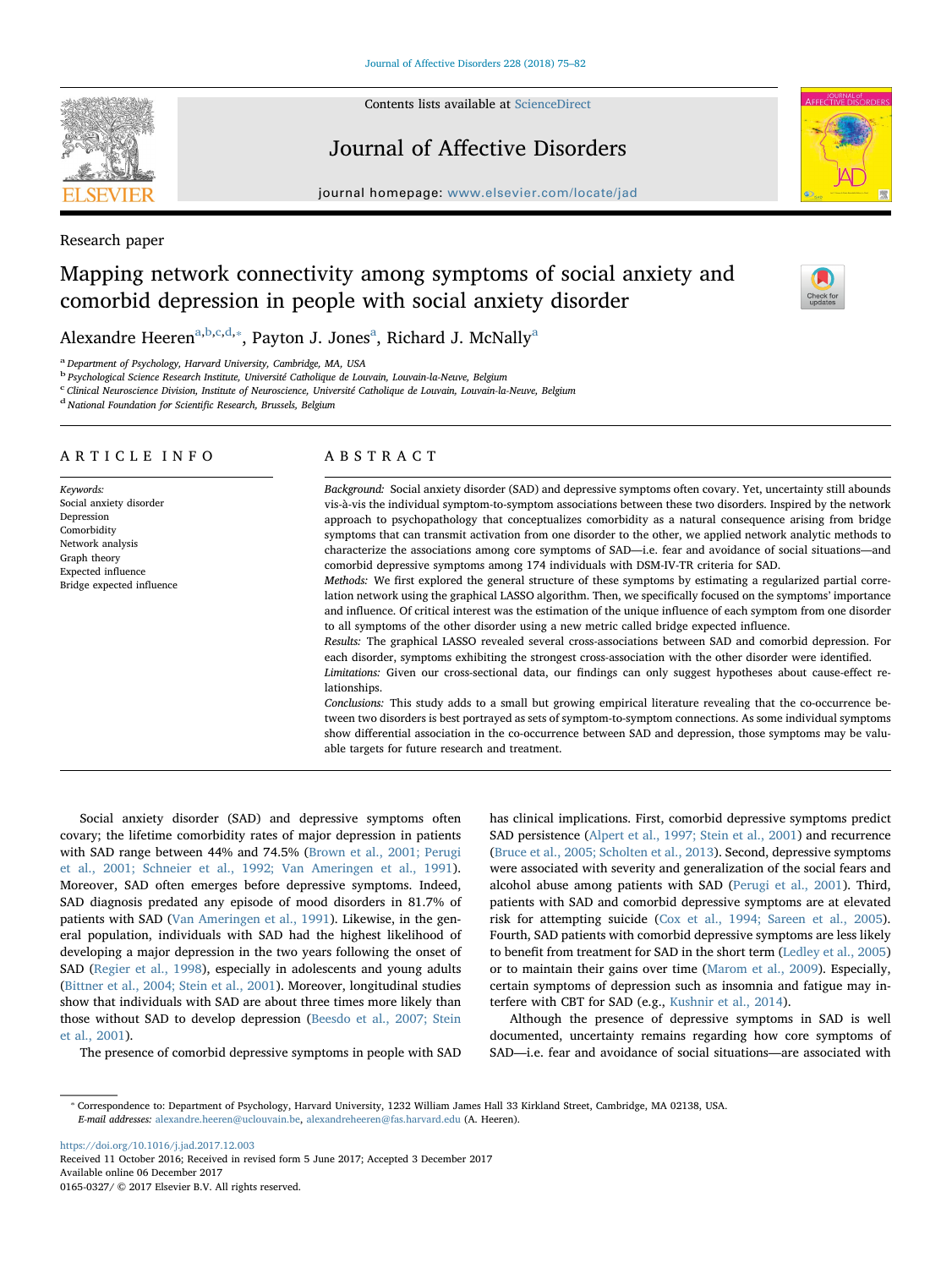Contents lists available at [ScienceDirect](http://www.sciencedirect.com/science/journal/01650327)

# Journal of Affective Disorders

journal homepage: [www.elsevier.com/locate/jad](https://www.elsevier.com/locate/jad)

Research paper

# Mapping network connectivity among symptoms of social anxiety and comorbid depression in people with social anxiety disorder

Alex[a](#page-0-0)ndre Heeren<sup>a[,b,](#page-0-1)[c,](#page-0-2)[d](#page-0-3),</sup>\*, Payton J. Jones<sup>a</sup>, Richard J. McNally<sup>a</sup>

<span id="page-0-0"></span><sup>a</sup> Department of Psychology, Harvard University, Cambridge, MA, USA

<span id="page-0-1"></span><sup>b</sup> Psychological Science Research Institute, Université Catholique de Louvain, Louvain-la-Neuve, Belgium

<span id="page-0-2"></span>c<br>Clinical Neuroscience Division, Institute of Neuroscience, Université Catholique de Louvain, Louvain-la-Neuve, Belgium

<span id="page-0-3"></span><sup>d</sup> National Foundation for Scientific Research, Brussels, Belgium

# ARTICLE INFO

Keywords: Social anxiety disorder Depression **Comorbidity** Network analysis Graph theory Expected influence Bridge expected influence

# ABSTRACT

Background: Social anxiety disorder (SAD) and depressive symptoms often covary. Yet, uncertainty still abounds vis-à-vis the individual symptom-to-symptom associations between these two disorders. Inspired by the network approach to psychopathology that conceptualizes comorbidity as a natural consequence arising from bridge symptoms that can transmit activation from one disorder to the other, we applied network analytic methods to characterize the associations among core symptoms of SAD—i.e. fear and avoidance of social situations—and comorbid depressive symptoms among 174 individuals with DSM-IV-TR criteria for SAD.

Methods: We first explored the general structure of these symptoms by estimating a regularized partial correlation network using the graphical LASSO algorithm. Then, we specifically focused on the symptoms' importance and influence. Of critical interest was the estimation of the unique influence of each symptom from one disorder to all symptoms of the other disorder using a new metric called bridge expected influence.

Results: The graphical LASSO revealed several cross-associations between SAD and comorbid depression. For each disorder, symptoms exhibiting the strongest cross-association with the other disorder were identified.

Limitations: Given our cross-sectional data, our findings can only suggest hypotheses about cause-effect relationships.

Conclusions: This study adds to a small but growing empirical literature revealing that the co-occurrence between two disorders is best portrayed as sets of symptom-to-symptom connections. As some individual symptoms show differential association in the co-occurrence between SAD and depression, those symptoms may be valuable targets for future research and treatment.

Social anxiety disorder (SAD) and depressive symptoms often covary; the lifetime comorbidity rates of major depression in patients with SAD range between 44% and 74.5% [\(Brown et al., 2001; Perugi](#page-6-0) [et al., 2001; Schneier et al., 1992; Van Ameringen et al., 1991](#page-6-0)). Moreover, SAD often emerges before depressive symptoms. Indeed, SAD diagnosis predated any episode of mood disorders in 81.7% of patients with SAD ([Van Ameringen et al., 1991\)](#page-7-0). Likewise, in the general population, individuals with SAD had the highest likelihood of developing a major depression in the two years following the onset of SAD ([Regier et al., 1998](#page-7-1)), especially in adolescents and young adults ([Bittner et al., 2004; Stein et al., 2001\)](#page-6-1). Moreover, longitudinal studies show that individuals with SAD are about three times more likely than those without SAD to develop depression ([Beesdo et al., 2007; Stein](#page-6-2) [et al., 2001](#page-6-2)).

The presence of comorbid depressive symptoms in people with SAD

has clinical implications. First, comorbid depressive symptoms predict SAD persistence ([Alpert et al., 1997; Stein et al., 2001](#page-6-3)) and recurrence ([Bruce et al., 2005; Scholten et al., 2013\)](#page-6-4). Second, depressive symptoms were associated with severity and generalization of the social fears and alcohol abuse among patients with SAD ([Perugi et al., 2001](#page-7-2)). Third, patients with SAD and comorbid depressive symptoms are at elevated risk for attempting suicide ([Cox et al., 1994; Sareen et al., 2005](#page-6-5)). Fourth, SAD patients with comorbid depressive symptoms are less likely to benefit from treatment for SAD in the short term [\(Ledley et al., 2005\)](#page-7-3) or to maintain their gains over time [\(Marom et al., 2009\)](#page-7-4). Especially, certain symptoms of depression such as insomnia and fatigue may interfere with CBT for SAD (e.g., [Kushnir et al., 2014](#page-7-5)).

Although the presence of depressive symptoms in SAD is well documented, uncertainty remains regarding how core symptoms of SAD—i.e. fear and avoidance of social situations—are associated with

<https://doi.org/10.1016/j.jad.2017.12.003> Received 11 October 2016; Received in revised form 5 June 2017; Accepted 3 December 2017 Available online 06 December 2017

0165-0327/ © 2017 Elsevier B.V. All rights reserved.







<span id="page-0-4"></span><sup>⁎</sup> Correspondence to: Department of Psychology, Harvard University, 1232 William James Hall 33 Kirkland Street, Cambridge, MA 02138, USA. E-mail addresses: [alexandre.heeren@uclouvain.be,](mailto:alexandre.heeren@uclouvain.be) [alexandreheeren@fas.harvard.edu](mailto:alexandreheeren@fas.harvard.edu) (A. Heeren).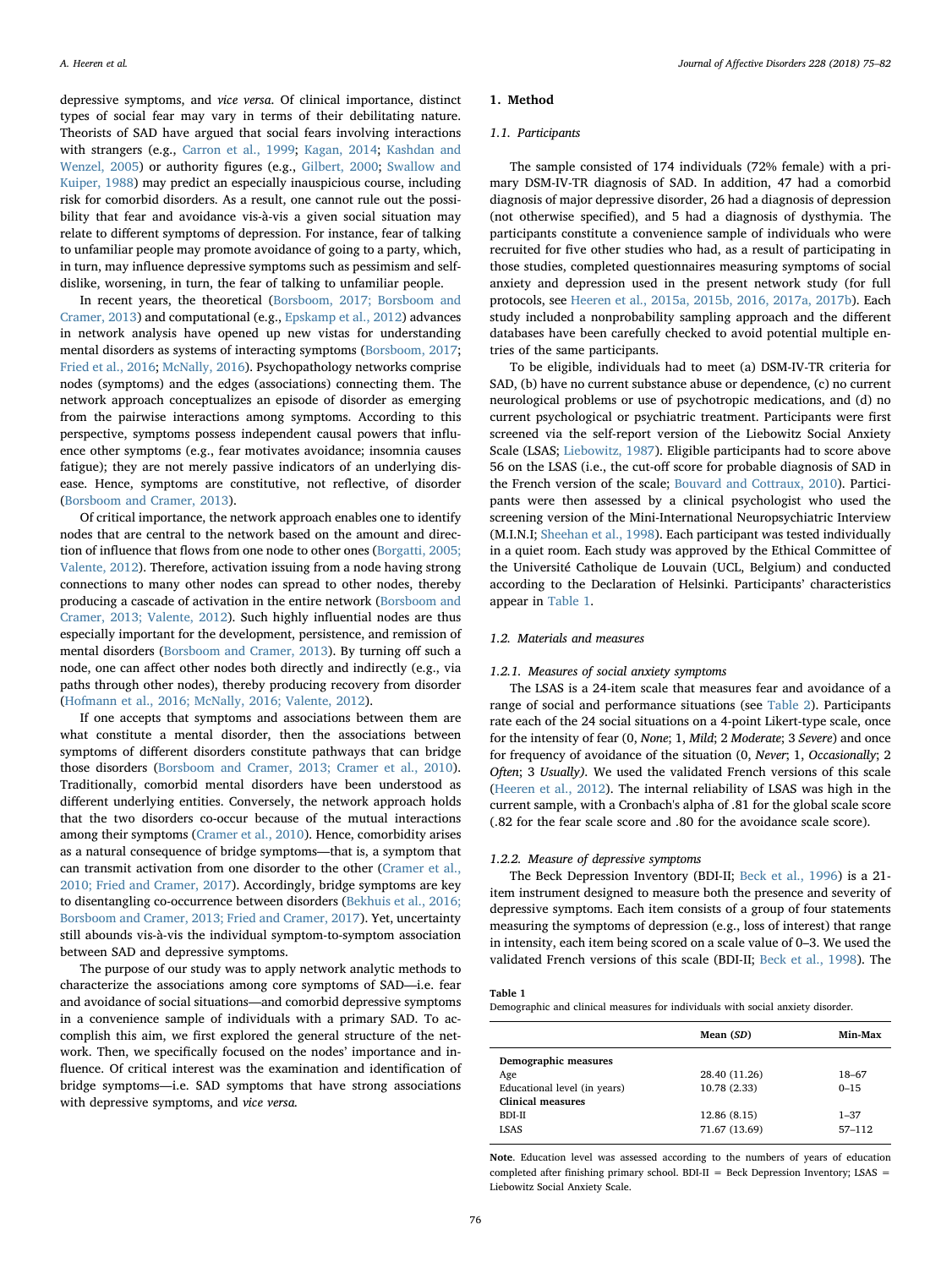depressive symptoms, and vice versa. Of clinical importance, distinct types of social fear may vary in terms of their debilitating nature. Theorists of SAD have argued that social fears involving interactions with strangers (e.g., [Carron et al., 1999;](#page-6-6) [Kagan, 2014](#page-7-6); [Kashdan and](#page-7-7) [Wenzel, 2005\)](#page-7-7) or authority figures (e.g., [Gilbert, 2000;](#page-6-7) [Swallow and](#page-7-8) [Kuiper, 1988\)](#page-7-8) may predict an especially inauspicious course, including risk for comorbid disorders. As a result, one cannot rule out the possibility that fear and avoidance vis-à-vis a given social situation may relate to different symptoms of depression. For instance, fear of talking to unfamiliar people may promote avoidance of going to a party, which, in turn, may influence depressive symptoms such as pessimism and selfdislike, worsening, in turn, the fear of talking to unfamiliar people.

In recent years, the theoretical [\(Borsboom, 2017; Borsboom and](#page-6-8) [Cramer, 2013\)](#page-6-8) and computational (e.g., [Epskamp et al., 2012\)](#page-6-9) advances in network analysis have opened up new vistas for understanding mental disorders as systems of interacting symptoms ([Borsboom, 2017](#page-6-8); [Fried et al., 2016](#page-6-10); [McNally, 2016](#page-7-9)). Psychopathology networks comprise nodes (symptoms) and the edges (associations) connecting them. The network approach conceptualizes an episode of disorder as emerging from the pairwise interactions among symptoms. According to this perspective, symptoms possess independent causal powers that influence other symptoms (e.g., fear motivates avoidance; insomnia causes fatigue); they are not merely passive indicators of an underlying disease. Hence, symptoms are constitutive, not reflective, of disorder ([Borsboom and Cramer, 2013](#page-6-11)).

Of critical importance, the network approach enables one to identify nodes that are central to the network based on the amount and direction of influence that flows from one node to other ones ([Borgatti, 2005;](#page-6-12) [Valente, 2012\)](#page-6-12). Therefore, activation issuing from a node having strong connections to many other nodes can spread to other nodes, thereby producing a cascade of activation in the entire network ([Borsboom and](#page-6-11) [Cramer, 2013; Valente, 2012](#page-6-11)). Such highly influential nodes are thus especially important for the development, persistence, and remission of mental disorders ([Borsboom and Cramer, 2013](#page-6-11)). By turning off such a node, one can affect other nodes both directly and indirectly (e.g., via paths through other nodes), thereby producing recovery from disorder ([Hofmann et al., 2016; McNally, 2016; Valente, 2012](#page-7-10)).

If one accepts that symptoms and associations between them are what constitute a mental disorder, then the associations between symptoms of different disorders constitute pathways that can bridge those disorders [\(Borsboom and Cramer, 2013; Cramer et al., 2010](#page-6-11)). Traditionally, comorbid mental disorders have been understood as different underlying entities. Conversely, the network approach holds that the two disorders co-occur because of the mutual interactions among their symptoms ([Cramer et al., 2010](#page-6-13)). Hence, comorbidity arises as a natural consequence of bridge symptoms—that is, a symptom that can transmit activation from one disorder to the other [\(Cramer et al.,](#page-6-13) [2010; Fried and Cramer, 2017\)](#page-6-13). Accordingly, bridge symptoms are key to disentangling co-occurrence between disorders ([Bekhuis et al., 2016;](#page-6-14) [Borsboom and Cramer, 2013; Fried and Cramer, 2017](#page-6-14)). Yet, uncertainty still abounds vis-à-vis the individual symptom-to-symptom association between SAD and depressive symptoms.

The purpose of our study was to apply network analytic methods to characterize the associations among core symptoms of SAD—i.e. fear and avoidance of social situations—and comorbid depressive symptoms in a convenience sample of individuals with a primary SAD. To accomplish this aim, we first explored the general structure of the network. Then, we specifically focused on the nodes' importance and influence. Of critical interest was the examination and identification of bridge symptoms—i.e. SAD symptoms that have strong associations with depressive symptoms, and vice versa.

#### 1. Method

#### 1.1. Participants

The sample consisted of 174 individuals (72% female) with a primary DSM-IV-TR diagnosis of SAD. In addition, 47 had a comorbid diagnosis of major depressive disorder, 26 had a diagnosis of depression (not otherwise specified), and 5 had a diagnosis of dysthymia. The participants constitute a convenience sample of individuals who were recruited for five other studies who had, as a result of participating in those studies, completed questionnaires measuring symptoms of social anxiety and depression used in the present network study (for full protocols, see [Heeren et al., 2015a, 2015b, 2016, 2017a, 2017b\)](#page-6-15). Each study included a nonprobability sampling approach and the different databases have been carefully checked to avoid potential multiple entries of the same participants.

To be eligible, individuals had to meet (a) DSM-IV-TR criteria for SAD, (b) have no current substance abuse or dependence, (c) no current neurological problems or use of psychotropic medications, and (d) no current psychological or psychiatric treatment. Participants were first screened via the self-report version of the Liebowitz Social Anxiety Scale (LSAS; [Liebowitz, 1987\)](#page-7-11). Eligible participants had to score above 56 on the LSAS (i.e., the cut-off score for probable diagnosis of SAD in the French version of the scale; [Bouvard and Cottraux, 2010](#page-6-16)). Participants were then assessed by a clinical psychologist who used the screening version of the Mini-International Neuropsychiatric Interview (M.I.N.I; [Sheehan et al., 1998\)](#page-7-12). Each participant was tested individually in a quiet room. Each study was approved by the Ethical Committee of the Université Catholique de Louvain (UCL, Belgium) and conducted according to the Declaration of Helsinki. Participants' characteristics appear in [Table 1.](#page-1-0)

#### 1.2. Materials and measures

#### 1.2.1. Measures of social anxiety symptoms

The LSAS is a 24-item scale that measures fear and avoidance of a range of social and performance situations (see [Table 2](#page-2-0)). Participants rate each of the 24 social situations on a 4-point Likert-type scale, once for the intensity of fear (0, None; 1, Mild; 2 Moderate; 3 Severe) and once for frequency of avoidance of the situation (0, Never; 1, Occasionally; 2 Often; 3 Usually). We used the validated French versions of this scale ([Heeren et al., 2012\)](#page-6-17). The internal reliability of LSAS was high in the current sample, with a Cronbach's alpha of .81 for the global scale score (.82 for the fear scale score and .80 for the avoidance scale score).

#### 1.2.2. Measure of depressive symptoms

The Beck Depression Inventory (BDI-II; [Beck et al., 1996](#page-6-18)) is a 21 item instrument designed to measure both the presence and severity of depressive symptoms. Each item consists of a group of four statements measuring the symptoms of depression (e.g., loss of interest) that range in intensity, each item being scored on a scale value of 0–3. We used the validated French versions of this scale (BDI-II; [Beck et al., 1998](#page-6-19)). The

## <span id="page-1-0"></span>Table 1

Demographic and clinical measures for individuals with social anxiety disorder.

|                              | Mean (SD)     | Min-Max  |
|------------------------------|---------------|----------|
| Demographic measures         |               |          |
| Age                          | 28.40 (11.26) | 18-67    |
| Educational level (in years) | 10.78 (2.33)  | $0 - 15$ |
| Clinical measures            |               |          |
| BDI-II                       | 12.86 (8.15)  | $1 - 37$ |
| LSAS                         | 71.67 (13.69) | 57-112   |
|                              |               |          |

Note. Education level was assessed according to the numbers of years of education completed after finishing primary school. BDI-II = Beck Depression Inventory; LSAS = Liebowitz Social Anxiety Scale.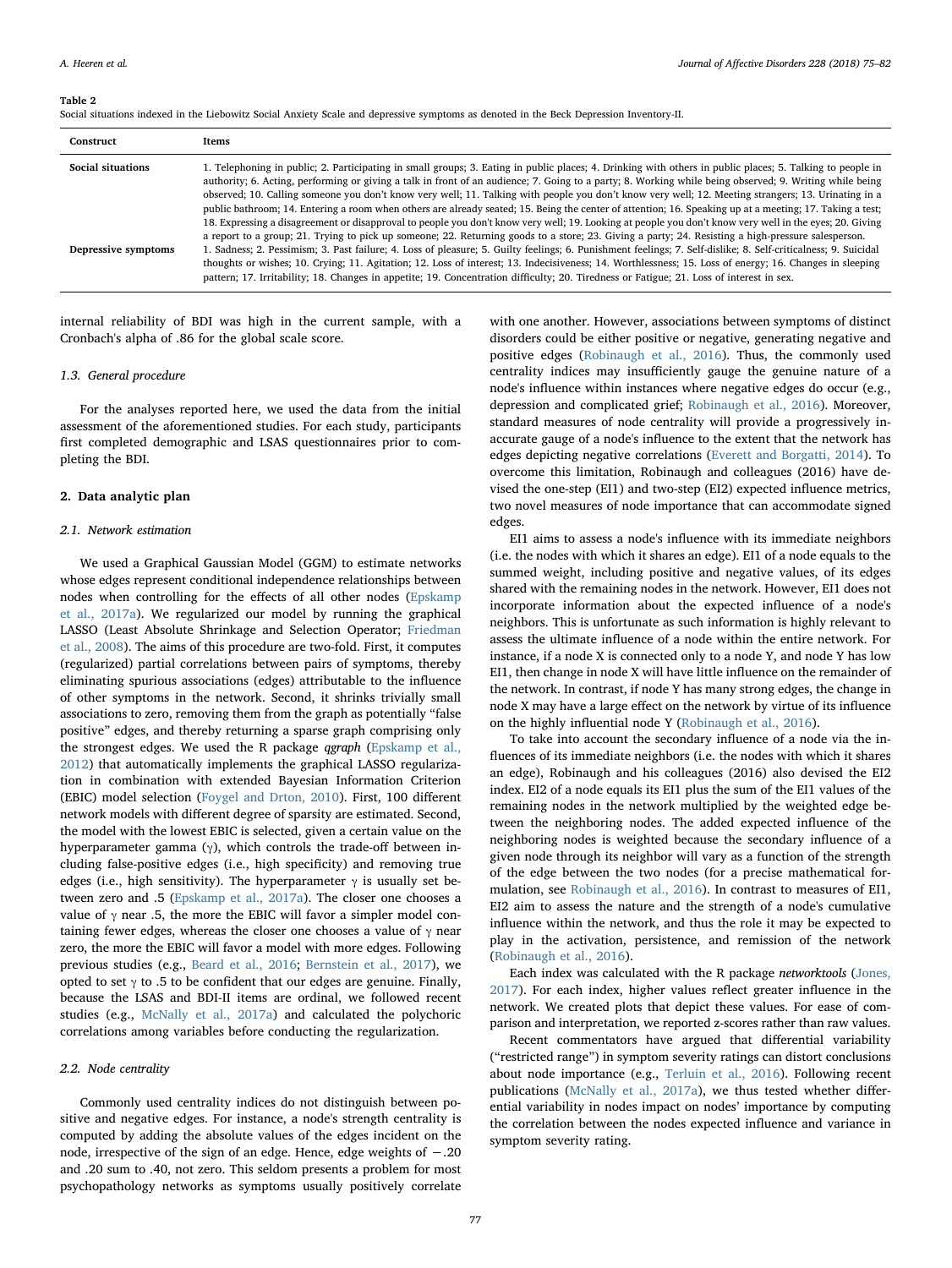#### <span id="page-2-0"></span>Table 2

Social situations indexed in the Liebowitz Social Anxiety Scale and depressive symptoms as denoted in the Beck Depression Inventory-II.

| Construct                | Items                                                                                                                                                                                                                                                                                                                                                                                                                                                                                                                                                                                                                                                                                                                                                                                                                                                                                                                                                    |
|--------------------------|----------------------------------------------------------------------------------------------------------------------------------------------------------------------------------------------------------------------------------------------------------------------------------------------------------------------------------------------------------------------------------------------------------------------------------------------------------------------------------------------------------------------------------------------------------------------------------------------------------------------------------------------------------------------------------------------------------------------------------------------------------------------------------------------------------------------------------------------------------------------------------------------------------------------------------------------------------|
| <b>Social situations</b> | 1. Telephoning in public; 2. Participating in small groups; 3. Eating in public places; 4. Drinking with others in public places; 5. Talking to people in<br>authority; 6. Acting, performing or giving a talk in front of an audience; 7. Going to a party; 8. Working while being observed; 9. Writing while being<br>observed; 10. Calling someone you don't know very well; 11. Talking with people you don't know very well; 12. Meeting strangers; 13. Urinating in a<br>public bathroom; 14. Entering a room when others are already seated; 15. Being the center of attention; 16. Speaking up at a meeting; 17. Taking a test;<br>18. Expressing a disagreement or disapproval to people you don't know very well; 19. Looking at people you don't know very well in the eyes; 20. Giving<br>a report to a group; 21. Trying to pick up someone; 22. Returning goods to a store; 23. Giving a party; 24. Resisting a high-pressure salesperson. |
| Depressive symptoms      | 1. Sadness; 2. Pessimism; 3. Past failure; 4. Loss of pleasure; 5. Guilty feelings; 6. Punishment feelings; 7. Self-dislike; 8. Self-criticalness; 9. Suicidal<br>thoughts or wishes; 10. Crying; 11. Agitation; 12. Loss of interest; 13. Indecisiveness; 14. Worthlessness; 15. Loss of energy; 16. Changes in sleeping<br>pattern; 17. Irritability; 18. Changes in appetite; 19. Concentration difficulty; 20. Tiredness or Fatigue; 21. Loss of interest in sex.                                                                                                                                                                                                                                                                                                                                                                                                                                                                                    |

internal reliability of BDI was high in the current sample, with a Cronbach's alpha of .86 for the global scale score.

## 1.3. General procedure

For the analyses reported here, we used the data from the initial assessment of the aforementioned studies. For each study, participants first completed demographic and LSAS questionnaires prior to completing the BDI.

#### 2. Data analytic plan

# 2.1. Network estimation

We used a Graphical Gaussian Model (GGM) to estimate networks whose edges represent conditional independence relationships between nodes when controlling for the effects of all other nodes ([Epskamp](#page-6-20) [et al., 2017a](#page-6-20)). We regularized our model by running the graphical LASSO (Least Absolute Shrinkage and Selection Operator; [Friedman](#page-6-21) [et al., 2008](#page-6-21)). The aims of this procedure are two-fold. First, it computes (regularized) partial correlations between pairs of symptoms, thereby eliminating spurious associations (edges) attributable to the influence of other symptoms in the network. Second, it shrinks trivially small associations to zero, removing them from the graph as potentially "false positive" edges, and thereby returning a sparse graph comprising only the strongest edges. We used the R package qgraph [\(Epskamp et al.,](#page-6-9) [2012\)](#page-6-9) that automatically implements the graphical LASSO regularization in combination with extended Bayesian Information Criterion (EBIC) model selection [\(Foygel and Drton, 2010](#page-6-22)). First, 100 different network models with different degree of sparsity are estimated. Second, the model with the lowest EBIC is selected, given a certain value on the hyperparameter gamma (γ), which controls the trade-off between including false-positive edges (i.e., high specificity) and removing true edges (i.e., high sensitivity). The hyperparameter  $\gamma$  is usually set between zero and .5 [\(Epskamp et al., 2017a\)](#page-6-20). The closer one chooses a value of  $\gamma$  near .5, the more the EBIC will favor a simpler model containing fewer edges, whereas the closer one chooses a value of  $\gamma$  near zero, the more the EBIC will favor a model with more edges. Following previous studies (e.g., [Beard et al., 2016;](#page-6-23) [Bernstein et al., 2017\)](#page-6-24), we opted to set  $\gamma$  to .5 to be confident that our edges are genuine. Finally, because the LSAS and BDI-II items are ordinal, we followed recent studies (e.g., [McNally et al., 2017a\)](#page-7-13) and calculated the polychoric correlations among variables before conducting the regularization.

# 2.2. Node centrality

Commonly used centrality indices do not distinguish between positive and negative edges. For instance, a node's strength centrality is computed by adding the absolute values of the edges incident on the node, irrespective of the sign of an edge. Hence, edge weights of −.20 and .20 sum to .40, not zero. This seldom presents a problem for most psychopathology networks as symptoms usually positively correlate

with one another. However, associations between symptoms of distinct disorders could be either positive or negative, generating negative and positive edges [\(Robinaugh et al., 2016\)](#page-7-14). Thus, the commonly used centrality indices may insufficiently gauge the genuine nature of a node's influence within instances where negative edges do occur (e.g., depression and complicated grief; [Robinaugh et al., 2016](#page-7-14)). Moreover, standard measures of node centrality will provide a progressively inaccurate gauge of a node's influence to the extent that the network has edges depicting negative correlations [\(Everett and Borgatti, 2014](#page-6-25)). To overcome this limitation, Robinaugh and colleagues (2016) have devised the one-step (EI1) and two-step (EI2) expected influence metrics, two novel measures of node importance that can accommodate signed edges.

EI1 aims to assess a node's influence with its immediate neighbors (i.e. the nodes with which it shares an edge). EI1 of a node equals to the summed weight, including positive and negative values, of its edges shared with the remaining nodes in the network. However, EI1 does not incorporate information about the expected influence of a node's neighbors. This is unfortunate as such information is highly relevant to assess the ultimate influence of a node within the entire network. For instance, if a node X is connected only to a node Y, and node Y has low EI1, then change in node X will have little influence on the remainder of the network. In contrast, if node Y has many strong edges, the change in node X may have a large effect on the network by virtue of its influence on the highly influential node Y ([Robinaugh et al., 2016](#page-7-14)).

To take into account the secondary influence of a node via the influences of its immediate neighbors (i.e. the nodes with which it shares an edge), Robinaugh and his colleagues (2016) also devised the EI2 index. EI2 of a node equals its EI1 plus the sum of the EI1 values of the remaining nodes in the network multiplied by the weighted edge between the neighboring nodes. The added expected influence of the neighboring nodes is weighted because the secondary influence of a given node through its neighbor will vary as a function of the strength of the edge between the two nodes (for a precise mathematical formulation, see [Robinaugh et al., 2016](#page-7-14)). In contrast to measures of EI1, EI2 aim to assess the nature and the strength of a node's cumulative influence within the network, and thus the role it may be expected to play in the activation, persistence, and remission of the network ([Robinaugh et al., 2016](#page-7-14)).

Each index was calculated with the R package networktools ([Jones,](#page-7-15) [2017\)](#page-7-15). For each index, higher values reflect greater influence in the network. We created plots that depict these values. For ease of comparison and interpretation, we reported z-scores rather than raw values.

Recent commentators have argued that differential variability ("restricted range") in symptom severity ratings can distort conclusions about node importance (e.g., [Terluin et al., 2016](#page-7-16)). Following recent publications [\(McNally et al., 2017a\)](#page-7-13), we thus tested whether differential variability in nodes impact on nodes' importance by computing the correlation between the nodes expected influence and variance in symptom severity rating.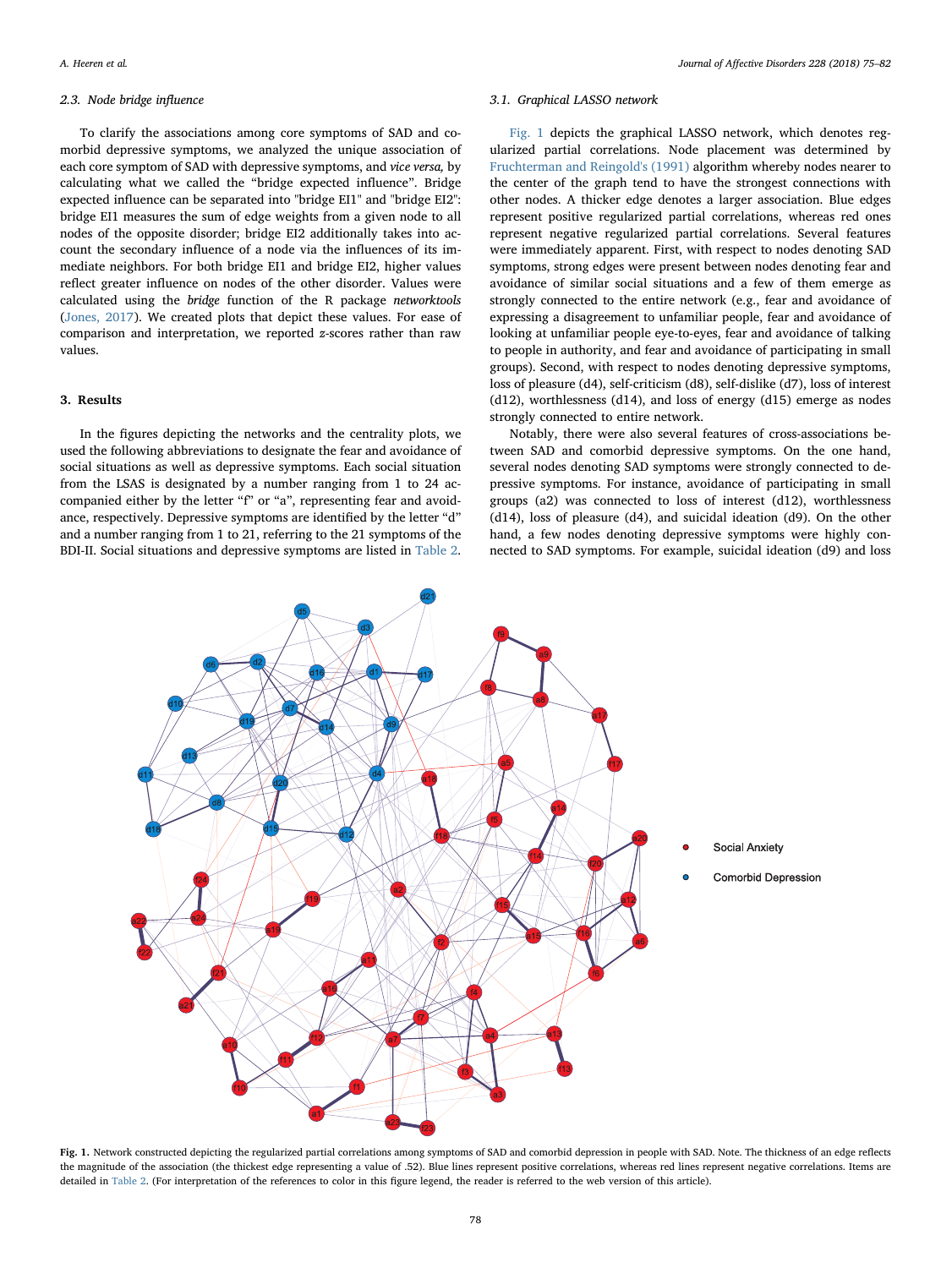### 2.3. Node bridge influence

To clarify the associations among core symptoms of SAD and comorbid depressive symptoms, we analyzed the unique association of each core symptom of SAD with depressive symptoms, and vice versa, by calculating what we called the "bridge expected influence". Bridge expected influence can be separated into "bridge EI1" and "bridge EI2": bridge EI1 measures the sum of edge weights from a given node to all nodes of the opposite disorder; bridge EI2 additionally takes into account the secondary influence of a node via the influences of its immediate neighbors. For both bridge EI1 and bridge EI2, higher values reflect greater influence on nodes of the other disorder. Values were calculated using the bridge function of the R package networktools ([Jones, 2017\)](#page-7-15). We created plots that depict these values. For ease of comparison and interpretation, we reported z-scores rather than raw values.

#### 3. Results

In the figures depicting the networks and the centrality plots, we used the following abbreviations to designate the fear and avoidance of social situations as well as depressive symptoms. Each social situation from the LSAS is designated by a number ranging from 1 to 24 accompanied either by the letter "f" or "a", representing fear and avoidance, respectively. Depressive symptoms are identified by the letter "d" and a number ranging from 1 to 21, referring to the 21 symptoms of the BDI-II. Social situations and depressive symptoms are listed in [Table 2](#page-2-0).

### 3.1. Graphical LASSO network

[Fig. 1](#page-3-0) depicts the graphical LASSO network, which denotes regularized partial correlations. Node placement was determined by [Fruchterman and Reingold's \(1991\)](#page-6-26) algorithm whereby nodes nearer to the center of the graph tend to have the strongest connections with other nodes. A thicker edge denotes a larger association. Blue edges represent positive regularized partial correlations, whereas red ones represent negative regularized partial correlations. Several features were immediately apparent. First, with respect to nodes denoting SAD symptoms, strong edges were present between nodes denoting fear and avoidance of similar social situations and a few of them emerge as strongly connected to the entire network (e.g., fear and avoidance of expressing a disagreement to unfamiliar people, fear and avoidance of looking at unfamiliar people eye-to-eyes, fear and avoidance of talking to people in authority, and fear and avoidance of participating in small groups). Second, with respect to nodes denoting depressive symptoms, loss of pleasure (d4), self-criticism (d8), self-dislike (d7), loss of interest (d12), worthlessness (d14), and loss of energy (d15) emerge as nodes strongly connected to entire network.

Notably, there were also several features of cross-associations between SAD and comorbid depressive symptoms. On the one hand, several nodes denoting SAD symptoms were strongly connected to depressive symptoms. For instance, avoidance of participating in small groups (a2) was connected to loss of interest (d12), worthlessness (d14), loss of pleasure (d4), and suicidal ideation (d9). On the other hand, a few nodes denoting depressive symptoms were highly connected to SAD symptoms. For example, suicidal ideation (d9) and loss

<span id="page-3-0"></span>

Fig. 1. Network constructed depicting the regularized partial correlations among symptoms of SAD and comorbid depression in people with SAD. Note. The thickness of an edge reflects the magnitude of the association (the thickest edge representing a value of .52). Blue lines represent positive correlations, whereas red lines represent negative correlations. Items are detailed in [Table 2](#page-2-0). (For interpretation of the references to color in this figure legend, the reader is referred to the web version of this article).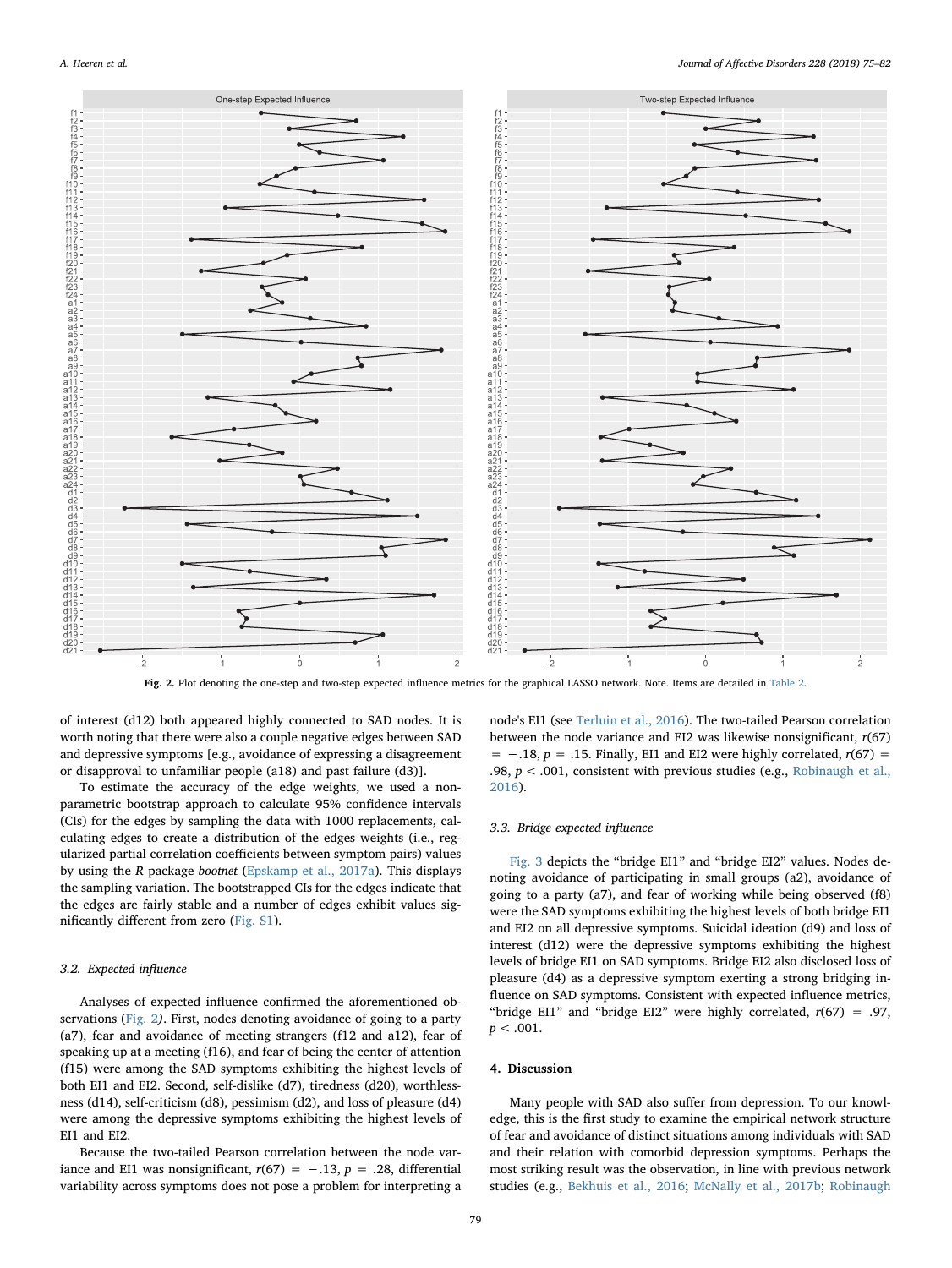<span id="page-4-0"></span>

Fig. 2. Plot denoting the one-step and two-step expected influence metrics for the graphical LASSO network. Note. Items are detailed in [Table 2](#page-2-0).

of interest (d12) both appeared highly connected to SAD nodes. It is worth noting that there were also a couple negative edges between SAD and depressive symptoms [e.g., avoidance of expressing a disagreement or disapproval to unfamiliar people (a18) and past failure (d3)].

To estimate the accuracy of the edge weights, we used a nonparametric bootstrap approach to calculate 95% confidence intervals (CIs) for the edges by sampling the data with 1000 replacements, calculating edges to create a distribution of the edges weights (i.e., regularized partial correlation coefficients between symptom pairs) values by using the R package bootnet ([Epskamp et al., 2017a](#page-6-20)). This displays the sampling variation. The bootstrapped CIs for the edges indicate that the edges are fairly stable and a number of edges exhibit values significantly different from zero (Fig. S1).

### 3.2. Expected influence

Analyses of expected influence confirmed the aforementioned observations ([Fig. 2](#page-4-0)). First, nodes denoting avoidance of going to a party (a7), fear and avoidance of meeting strangers (f12 and a12), fear of speaking up at a meeting (f16), and fear of being the center of attention (f15) were among the SAD symptoms exhibiting the highest levels of both EI1 and EI2. Second, self-dislike (d7), tiredness (d20), worthlessness (d14), self-criticism (d8), pessimism (d2), and loss of pleasure (d4) were among the depressive symptoms exhibiting the highest levels of EI1 and EI2.

Because the two-tailed Pearson correlation between the node variance and EI1 was nonsignificant,  $r(67) = −.13$ ,  $p = .28$ , differential variability across symptoms does not pose a problem for interpreting a

node's EI1 (see [Terluin et al., 2016](#page-7-16)). The two-tailed Pearson correlation between the node variance and EI2 was likewise nonsignificant,  $r(67)$ =  $-.18$ ,  $p = .15$ . Finally, EI1 and EI2 were highly correlated,  $r(67)$  = .98,  $p < .001$ , consistent with previous studies (e.g., [Robinaugh et al.,](#page-7-14) [2016\)](#page-7-14).

## 3.3. Bridge expected influence

[Fig. 3](#page-5-0) depicts the "bridge EI1" and "bridge EI2" values. Nodes denoting avoidance of participating in small groups (a2), avoidance of going to a party (a7), and fear of working while being observed (f8) were the SAD symptoms exhibiting the highest levels of both bridge EI1 and EI2 on all depressive symptoms. Suicidal ideation (d9) and loss of interest (d12) were the depressive symptoms exhibiting the highest levels of bridge EI1 on SAD symptoms. Bridge EI2 also disclosed loss of pleasure (d4) as a depressive symptom exerting a strong bridging influence on SAD symptoms. Consistent with expected influence metrics, "bridge EI1" and "bridge EI2" were highly correlated,  $r(67) = .97$ ,  $p < .001$ .

# 4. Discussion

Many people with SAD also suffer from depression. To our knowledge, this is the first study to examine the empirical network structure of fear and avoidance of distinct situations among individuals with SAD and their relation with comorbid depression symptoms. Perhaps the most striking result was the observation, in line with previous network studies (e.g., [Bekhuis et al., 2016;](#page-6-14) [McNally et al., 2017b;](#page-7-17) [Robinaugh](#page-7-18)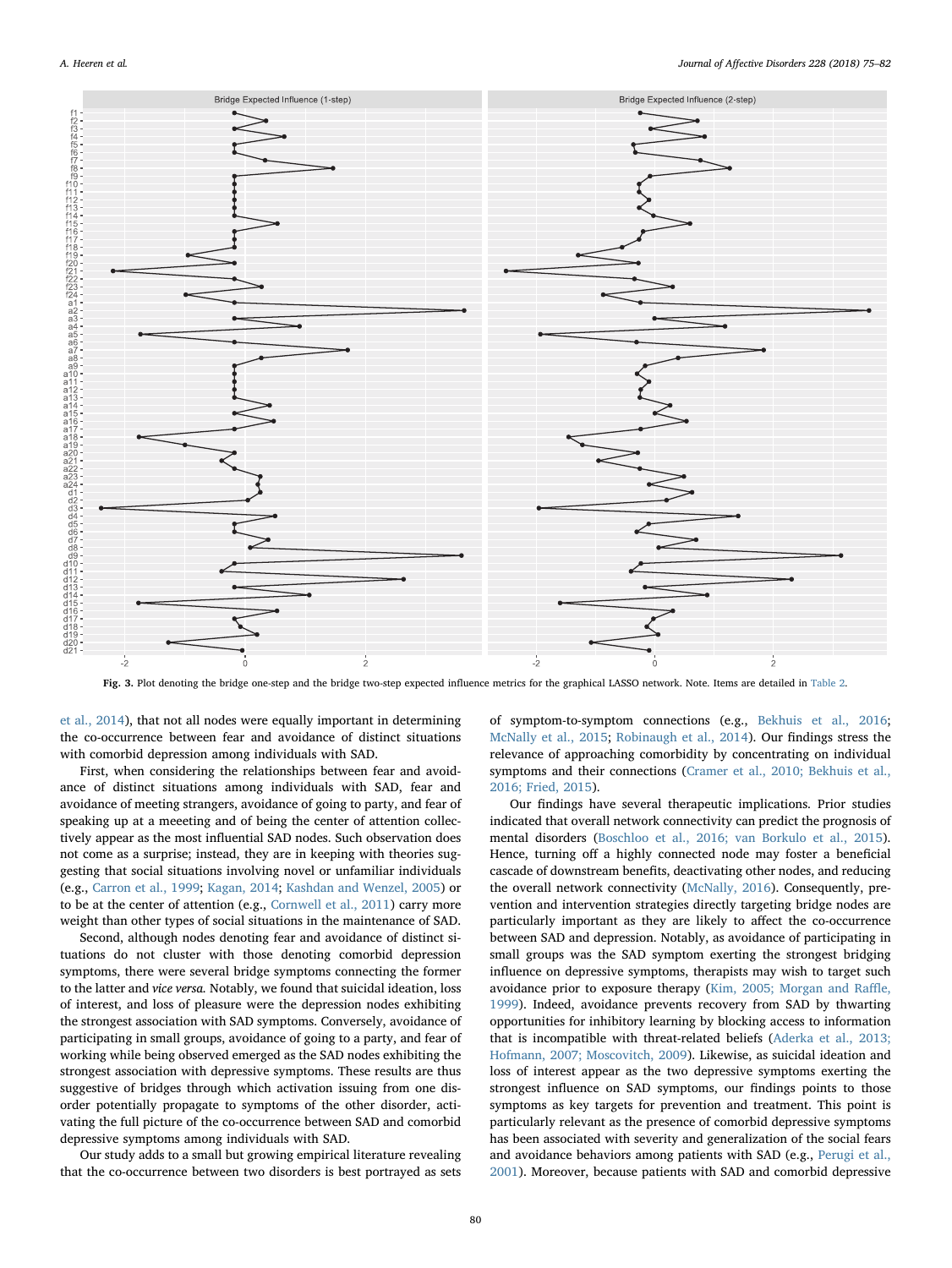<span id="page-5-0"></span>

Fig. 3. Plot denoting the bridge one-step and the bridge two-step expected influence metrics for the graphical LASSO network. Note. Items are detailed in [Table 2.](#page-2-0)

[et al., 2014](#page-7-18)), that not all nodes were equally important in determining the co-occurrence between fear and avoidance of distinct situations with comorbid depression among individuals with SAD.

First, when considering the relationships between fear and avoidance of distinct situations among individuals with SAD, fear and avoidance of meeting strangers, avoidance of going to party, and fear of speaking up at a meeeting and of being the center of attention collectively appear as the most influential SAD nodes. Such observation does not come as a surprise; instead, they are in keeping with theories suggesting that social situations involving novel or unfamiliar individuals (e.g., [Carron et al., 1999](#page-6-6); [Kagan, 2014](#page-7-6); [Kashdan and Wenzel, 2005\)](#page-7-7) or to be at the center of attention (e.g., [Cornwell et al., 2011](#page-6-27)) carry more weight than other types of social situations in the maintenance of SAD.

Second, although nodes denoting fear and avoidance of distinct situations do not cluster with those denoting comorbid depression symptoms, there were several bridge symptoms connecting the former to the latter and vice versa. Notably, we found that suicidal ideation, loss of interest, and loss of pleasure were the depression nodes exhibiting the strongest association with SAD symptoms. Conversely, avoidance of participating in small groups, avoidance of going to a party, and fear of working while being observed emerged as the SAD nodes exhibiting the strongest association with depressive symptoms. These results are thus suggestive of bridges through which activation issuing from one disorder potentially propagate to symptoms of the other disorder, activating the full picture of the co-occurrence between SAD and comorbid depressive symptoms among individuals with SAD.

Our study adds to a small but growing empirical literature revealing that the co-occurrence between two disorders is best portrayed as sets of symptom-to-symptom connections (e.g., [Bekhuis et al., 2016](#page-6-14); [McNally et al., 2015](#page-7-19); [Robinaugh et al., 2014](#page-7-18)). Our findings stress the relevance of approaching comorbidity by concentrating on individual symptoms and their connections ([Cramer et al., 2010; Bekhuis et al.,](#page-6-13) [2016; Fried, 2015\)](#page-6-13).

Our findings have several therapeutic implications. Prior studies indicated that overall network connectivity can predict the prognosis of mental disorders [\(Boschloo et al., 2016; van Borkulo et al., 2015](#page-6-28)). Hence, turning off a highly connected node may foster a beneficial cascade of downstream benefits, deactivating other nodes, and reducing the overall network connectivity ([McNally, 2016\)](#page-7-9). Consequently, prevention and intervention strategies directly targeting bridge nodes are particularly important as they are likely to affect the co-occurrence between SAD and depression. Notably, as avoidance of participating in small groups was the SAD symptom exerting the strongest bridging influence on depressive symptoms, therapists may wish to target such avoidance prior to exposure therapy ([Kim, 2005; Morgan and Ra](#page-7-20)ffle, [1999\)](#page-7-20). Indeed, avoidance prevents recovery from SAD by thwarting opportunities for inhibitory learning by blocking access to information that is incompatible with threat-related beliefs ([Aderka et al., 2013;](#page-6-29) [Hofmann, 2007; Moscovitch, 2009](#page-6-29)). Likewise, as suicidal ideation and loss of interest appear as the two depressive symptoms exerting the strongest influence on SAD symptoms, our findings points to those symptoms as key targets for prevention and treatment. This point is particularly relevant as the presence of comorbid depressive symptoms has been associated with severity and generalization of the social fears and avoidance behaviors among patients with SAD (e.g., [Perugi](#page-7-2) et al., [2001\)](#page-7-2). Moreover, because patients with SAD and comorbid depressive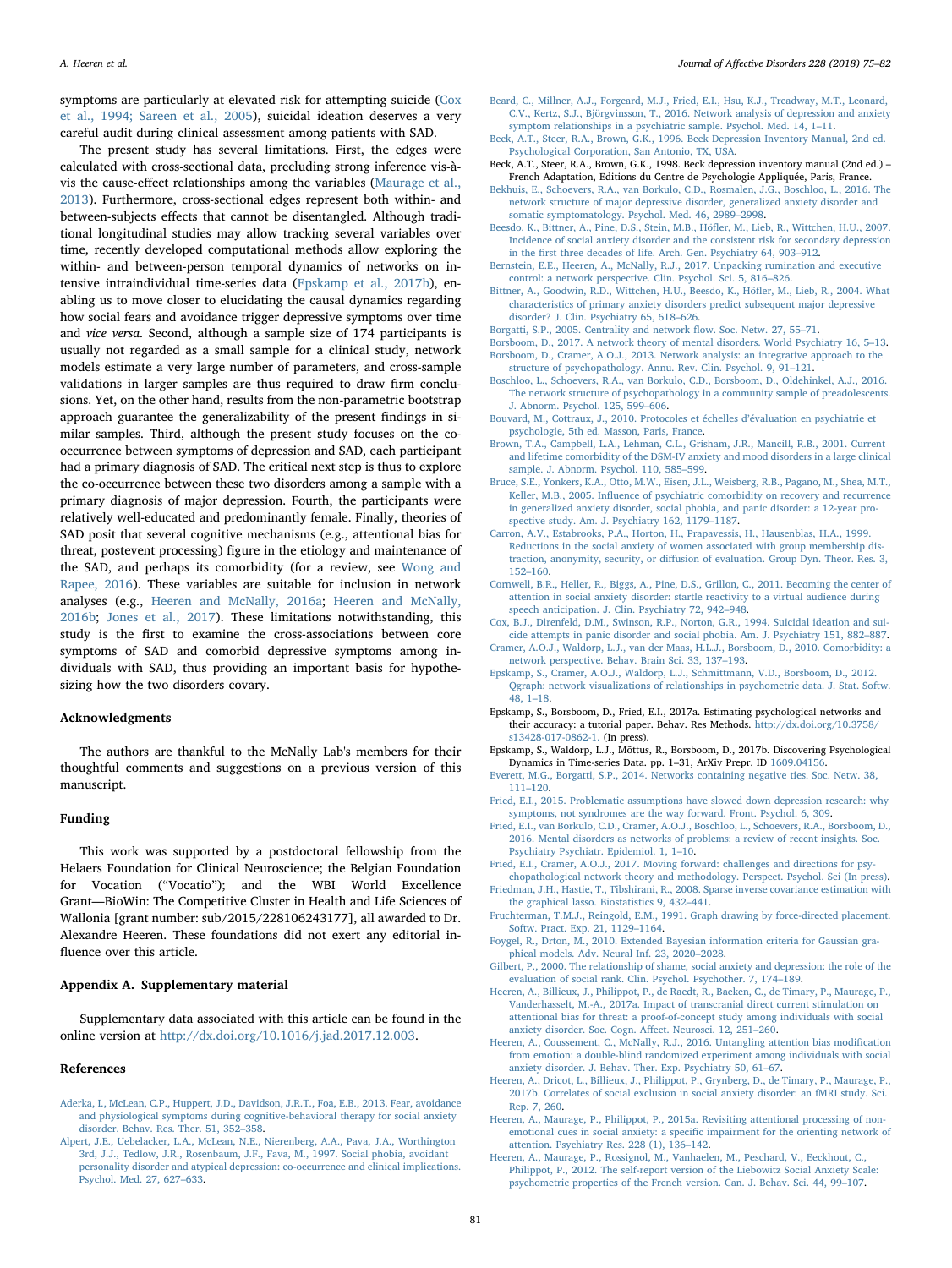symptoms are particularly at elevated risk for attempting suicide [\(Cox](#page-6-5) [et al., 1994; Sareen et al., 2005](#page-6-5)), suicidal ideation deserves a very careful audit during clinical assessment among patients with SAD.

The present study has several limitations. First, the edges were calculated with cross-sectional data, precluding strong inference vis-àvis the cause-effect relationships among the variables ([Maurage et al.,](#page-7-21) [2013\)](#page-7-21). Furthermore, cross-sectional edges represent both within- and between-subjects effects that cannot be disentangled. Although traditional longitudinal studies may allow tracking several variables over time, recently developed computational methods allow exploring the within- and between-person temporal dynamics of networks on intensive intraindividual time-series data [\(Epskamp et al., 2017b\)](#page-6-30), enabling us to move closer to elucidating the causal dynamics regarding how social fears and avoidance trigger depressive symptoms over time and vice versa. Second, although a sample size of 174 participants is usually not regarded as a small sample for a clinical study, network models estimate a very large number of parameters, and cross-sample validations in larger samples are thus required to draw firm conclusions. Yet, on the other hand, results from the non-parametric bootstrap approach guarantee the generalizability of the present findings in similar samples. Third, although the present study focuses on the cooccurrence between symptoms of depression and SAD, each participant had a primary diagnosis of SAD. The critical next step is thus to explore the co-occurrence between these two disorders among a sample with a primary diagnosis of major depression. Fourth, the participants were relatively well-educated and predominantly female. Finally, theories of SAD posit that several cognitive mechanisms (e.g., attentional bias for threat, postevent processing) figure in the etiology and maintenance of the SAD, and perhaps its comorbidity (for a review, see [Wong and](#page-7-22) [Rapee, 2016](#page-7-22)). These variables are suitable for inclusion in network analyses (e.g., [Heeren and McNally, 2016a;](#page-7-23) [Heeren and McNally,](#page-7-24) [2016b;](#page-7-24) [Jones et al., 2017\)](#page-7-25). These limitations notwithstanding, this study is the first to examine the cross-associations between core symptoms of SAD and comorbid depressive symptoms among individuals with SAD, thus providing an important basis for hypothesizing how the two disorders covary.

### Acknowledgments

The authors are thankful to the McNally Lab's members for their thoughtful comments and suggestions on a previous version of this manuscript.

#### Funding

This work was supported by a postdoctoral fellowship from the Helaers Foundation for Clinical Neuroscience; the Belgian Foundation for Vocation ("Vocatio"); and the WBI World Excellence Grant—BioWin: The Competitive Cluster in Health and Life Sciences of Wallonia [grant number: sub/2015/228106243177], all awarded to Dr. Alexandre Heeren. These foundations did not exert any editorial influence over this article.

# Appendix A. Supplementary material

Supplementary data associated with this article can be found in the online version at [http://dx.doi.org/10.1016/j.jad.2017.12.003.](http://dx.doi.org/10.1016/j.jad.2017.12.003)

#### References

- <span id="page-6-23"></span>[Beard, C., Millner, A.J., Forgeard, M.J., Fried, E.I., Hsu, K.J., Treadway, M.T., Leonard,](http://refhub.elsevier.com/S0165-0327(16)31875-4/sbref3) [C.V., Kertz, S.J., Björgvinsson, T., 2016. Network analysis of depression and anxiety](http://refhub.elsevier.com/S0165-0327(16)31875-4/sbref3) [symptom relationships in a psychiatric sample. Psychol. Med. 14, 1](http://refhub.elsevier.com/S0165-0327(16)31875-4/sbref3)–11.
- <span id="page-6-18"></span>[Beck, A.T., Steer, R.A., Brown, G.K., 1996. Beck Depression Inventory Manual, 2nd ed.](http://refhub.elsevier.com/S0165-0327(16)31875-4/sbref4) [Psychological Corporation, San Antonio, TX, USA.](http://refhub.elsevier.com/S0165-0327(16)31875-4/sbref4)
- <span id="page-6-19"></span>Beck, A.T., Steer, R.A., Brown, G.K., 1998. Beck depression inventory manual (2nd ed.) – French Adaptation, Editions du Centre de Psychologie Appliquée, Paris, France.
- <span id="page-6-14"></span>[Bekhuis, E., Schoevers, R.A., van Borkulo, C.D., Rosmalen, J.G., Boschloo, L., 2016. The](http://refhub.elsevier.com/S0165-0327(16)31875-4/sbref5) [network structure of major depressive disorder, generalized anxiety disorder and](http://refhub.elsevier.com/S0165-0327(16)31875-4/sbref5) [somatic symptomatology. Psychol. Med. 46, 2989](http://refhub.elsevier.com/S0165-0327(16)31875-4/sbref5)–2998.
- <span id="page-6-2"></span>[Beesdo, K., Bittner, A., Pine, D.S., Stein, M.B., Hö](http://refhub.elsevier.com/S0165-0327(16)31875-4/sbref6)fler, M., Lieb, R., Wittchen, H.U., 2007. [Incidence of social anxiety disorder and the consistent risk for secondary depression](http://refhub.elsevier.com/S0165-0327(16)31875-4/sbref6) in the fi[rst three decades of life. Arch. Gen. Psychiatry 64, 903](http://refhub.elsevier.com/S0165-0327(16)31875-4/sbref6)–912.
- <span id="page-6-24"></span>[Bernstein, E.E., Heeren, A., McNally, R.J., 2017. Unpacking rumination and executive](http://refhub.elsevier.com/S0165-0327(16)31875-4/sbref7) [control: a network perspective. Clin. Psychol. Sci. 5, 816](http://refhub.elsevier.com/S0165-0327(16)31875-4/sbref7)–826.
- <span id="page-6-1"></span>[Bittner, A., Goodwin, R.D., Wittchen, H.U., Beesdo, K., Hö](http://refhub.elsevier.com/S0165-0327(16)31875-4/sbref8)fler, M., Lieb, R., 2004. What [characteristics of primary anxiety disorders predict subsequent major depressive](http://refhub.elsevier.com/S0165-0327(16)31875-4/sbref8) [disorder? J. Clin. Psychiatry 65, 618](http://refhub.elsevier.com/S0165-0327(16)31875-4/sbref8)–626.
- <span id="page-6-12"></span>[Borgatti, S.P., 2005. Centrality and network](http://refhub.elsevier.com/S0165-0327(16)31875-4/sbref9) flow. Soc. Netw. 27, 55–71.
- <span id="page-6-11"></span><span id="page-6-8"></span>[Borsboom, D., 2017. A network theory of mental disorders. World Psychiatry 16, 5](http://refhub.elsevier.com/S0165-0327(16)31875-4/sbref10)–13. [Borsboom, D., Cramer, A.O.J., 2013. Network analysis: an integrative approach to the](http://refhub.elsevier.com/S0165-0327(16)31875-4/sbref11)
- [structure of psychopathology. Annu. Rev. Clin. Psychol. 9, 91](http://refhub.elsevier.com/S0165-0327(16)31875-4/sbref11)–121.
- <span id="page-6-28"></span>[Boschloo, L., Schoevers, R.A., van Borkulo, C.D., Borsboom, D., Oldehinkel, A.J., 2016.](http://refhub.elsevier.com/S0165-0327(16)31875-4/sbref12) [The network structure of psychopathology in a community sample of preadolescents.](http://refhub.elsevier.com/S0165-0327(16)31875-4/sbref12) [J. Abnorm. Psychol. 125, 599](http://refhub.elsevier.com/S0165-0327(16)31875-4/sbref12)–606.
- <span id="page-6-16"></span>[Bouvard, M., Cottraux, J., 2010. Protocoles et échelles d](http://refhub.elsevier.com/S0165-0327(16)31875-4/sbref13)'évaluation en psychiatrie et [psychologie, 5th ed. Masson, Paris, France.](http://refhub.elsevier.com/S0165-0327(16)31875-4/sbref13)
- <span id="page-6-0"></span>[Brown, T.A., Campbell, L.A., Lehman, C.L., Grisham, J.R., Mancill, R.B., 2001. Current](http://refhub.elsevier.com/S0165-0327(16)31875-4/sbref14) [and lifetime comorbidity of the DSM-IV anxiety and mood disorders in a large clinical](http://refhub.elsevier.com/S0165-0327(16)31875-4/sbref14) [sample. J. Abnorm. Psychol. 110, 585](http://refhub.elsevier.com/S0165-0327(16)31875-4/sbref14)–599.
- <span id="page-6-4"></span>[Bruce, S.E., Yonkers, K.A., Otto, M.W., Eisen, J.L., Weisberg, R.B., Pagano, M., Shea, M.T.,](http://refhub.elsevier.com/S0165-0327(16)31875-4/sbref15) Keller, M.B., 2005. Infl[uence of psychiatric comorbidity on recovery and recurrence](http://refhub.elsevier.com/S0165-0327(16)31875-4/sbref15) [in generalized anxiety disorder, social phobia, and panic disorder: a 12-year pro](http://refhub.elsevier.com/S0165-0327(16)31875-4/sbref15)[spective study. Am. J. Psychiatry 162, 1179](http://refhub.elsevier.com/S0165-0327(16)31875-4/sbref15)–1187.
- <span id="page-6-6"></span>[Carron, A.V., Estabrooks, P.A., Horton, H., Prapavessis, H., Hausenblas, H.A., 1999.](http://refhub.elsevier.com/S0165-0327(16)31875-4/sbref16) [Reductions in the social anxiety of women associated with group membership dis](http://refhub.elsevier.com/S0165-0327(16)31875-4/sbref16)traction, anonymity, security, or diff[usion of evaluation. Group Dyn. Theor. Res. 3,](http://refhub.elsevier.com/S0165-0327(16)31875-4/sbref16) 152–[160](http://refhub.elsevier.com/S0165-0327(16)31875-4/sbref16).
- <span id="page-6-27"></span>[Cornwell, B.R., Heller, R., Biggs, A., Pine, D.S., Grillon, C., 2011. Becoming the center of](http://refhub.elsevier.com/S0165-0327(16)31875-4/sbref17) [attention in social anxiety disorder: startle reactivity to a virtual audience during](http://refhub.elsevier.com/S0165-0327(16)31875-4/sbref17) speech [anticipation. J. Clin. Psychiatry 72, 942](http://refhub.elsevier.com/S0165-0327(16)31875-4/sbref17)–948.
- <span id="page-6-5"></span>[Cox, B.J., Direnfeld, D.M., Swinson, R.P., Norton, G.R., 1994. Suicidal ideation and sui](http://refhub.elsevier.com/S0165-0327(16)31875-4/sbref18)[cide attempts in panic disorder and social phobia. Am. J. Psychiatry 151, 882](http://refhub.elsevier.com/S0165-0327(16)31875-4/sbref18)–887.
- <span id="page-6-13"></span>[Cramer, A.O.J., Waldorp, L.J., van der Maas, H.L.J., Borsboom, D., 2010. Comorbidity: a](http://refhub.elsevier.com/S0165-0327(16)31875-4/sbref19) [network perspective. Behav. Brain Sci. 33, 137](http://refhub.elsevier.com/S0165-0327(16)31875-4/sbref19)–193.
- <span id="page-6-9"></span>[Epskamp, S., Cramer, A.O.J., Waldorp, L.J., Schmittmann, V.D., Borsboom, D., 2012.](http://refhub.elsevier.com/S0165-0327(16)31875-4/sbref20) [Qgraph: network visualizations of relationships in psychometric data. J. Stat. Softw.](http://refhub.elsevier.com/S0165-0327(16)31875-4/sbref20) [48, 1](http://refhub.elsevier.com/S0165-0327(16)31875-4/sbref20)–18.
- <span id="page-6-20"></span>Epskamp, S., Borsboom, D., Fried, E.I., 2017a. Estimating psychological networks and their accuracy: a tutorial paper. Behav. Res Methods. [http://dx.doi.org/10.3758/](http://dx.doi.org/10.3758/s13428-017-0862-1) [s13428-017-0862-1.](http://dx.doi.org/10.3758/s13428-017-0862-1) (In press).
- <span id="page-6-30"></span>Epskamp, S., Waldorp, L.J., Mõttus, R., Borsboom, D., 2017b. Discovering Psychological Dynamics in Time-series Data. pp. 1–31, ArXiv Prepr. ID [1609.04156](http://1609.04156).
- <span id="page-6-25"></span>[Everett, M.G., Borgatti, S.P., 2014. Networks containing negative ties. Soc. Netw. 38,](http://refhub.elsevier.com/S0165-0327(16)31875-4/sbref22) 111–[120](http://refhub.elsevier.com/S0165-0327(16)31875-4/sbref22).
- [Fried, E.I., 2015. Problematic assumptions have slowed down depression research: why](http://refhub.elsevier.com/S0165-0327(16)31875-4/sbref23) [symptoms, not syndromes are the way forward. Front. Psychol. 6, 309.](http://refhub.elsevier.com/S0165-0327(16)31875-4/sbref23)
- <span id="page-6-10"></span>[Fried, E.I., van Borkulo, C.D., Cramer, A.O.J., Boschloo, L., Schoevers, R.A., Borsboom, D.,](http://refhub.elsevier.com/S0165-0327(16)31875-4/sbref24) [2016. Mental disorders as networks of problems: a review of recent insights. Soc.](http://refhub.elsevier.com/S0165-0327(16)31875-4/sbref24) [Psychiatry Psychiatr. Epidemiol. 1, 1](http://refhub.elsevier.com/S0165-0327(16)31875-4/sbref24)–10.
- [Fried, E.I., Cramer, A.O.J., 2017. Moving forward: challenges and directions for psy-](http://refhub.elsevier.com/S0165-0327(16)31875-4/sbref25)
- <span id="page-6-21"></span>[chopathological network theory and methodology. Perspect. Psychol. Sci \(In press\)](http://refhub.elsevier.com/S0165-0327(16)31875-4/sbref25). [Friedman, J.H., Hastie, T., Tibshirani, R., 2008. Sparse inverse covariance estimation with](http://refhub.elsevier.com/S0165-0327(16)31875-4/sbref26)
- <span id="page-6-26"></span>[the graphical lasso. Biostatistics 9, 432](http://refhub.elsevier.com/S0165-0327(16)31875-4/sbref26)–441. [Fruchterman, T.M.J., Reingold, E.M., 1991. Graph drawing by force-directed placement.](http://refhub.elsevier.com/S0165-0327(16)31875-4/sbref27) [Softw. Pract. Exp. 21, 1129](http://refhub.elsevier.com/S0165-0327(16)31875-4/sbref27)–1164.
- <span id="page-6-22"></span>[Foygel, R., Drton, M., 2010. Extended Bayesian information criteria for Gaussian gra](http://refhub.elsevier.com/S0165-0327(16)31875-4/sbref28)[phical models. Adv. Neural Inf. 23, 2020](http://refhub.elsevier.com/S0165-0327(16)31875-4/sbref28)–2028.
- <span id="page-6-7"></span>[Gilbert, P., 2000. The relationship of shame, social anxiety and depression: the role of the](http://refhub.elsevier.com/S0165-0327(16)31875-4/sbref29) [evaluation of social rank. Clin. Psychol. Psychother. 7, 174](http://refhub.elsevier.com/S0165-0327(16)31875-4/sbref29)–189.
- [Heeren, A., Billieux, J., Philippot, P., de Raedt, R., Baeken, C., de Timary, P., Maurage, P.,](http://refhub.elsevier.com/S0165-0327(16)31875-4/sbref30) [Vanderhasselt, M.-A., 2017a. Impact of transcranial direct current stimulation on](http://refhub.elsevier.com/S0165-0327(16)31875-4/sbref30) [attentional bias for threat: a proof-of-concept study among individuals with social](http://refhub.elsevier.com/S0165-0327(16)31875-4/sbref30) [anxiety disorder. Soc. Cogn. A](http://refhub.elsevier.com/S0165-0327(16)31875-4/sbref30)ffect. Neurosci. 12, 251–260.
- [Heeren, A., Coussement, C., McNally, R.J., 2016. Untangling attention bias modi](http://refhub.elsevier.com/S0165-0327(16)31875-4/sbref31)fication [from emotion: a double-blind randomized experiment among individuals with social](http://refhub.elsevier.com/S0165-0327(16)31875-4/sbref31) [anxiety disorder. J. Behav. Ther. Exp. Psychiatry 50, 61](http://refhub.elsevier.com/S0165-0327(16)31875-4/sbref31)–67.
- [Heeren, A., Dricot, L., Billieux, J., Philippot, P., Grynberg, D., de Timary, P., Maurage, P.,](http://refhub.elsevier.com/S0165-0327(16)31875-4/sbref32) [2017b. Correlates of social exclusion in social anxiety disorder: an fMRI study. Sci.](http://refhub.elsevier.com/S0165-0327(16)31875-4/sbref32) [Rep. 7, 260.](http://refhub.elsevier.com/S0165-0327(16)31875-4/sbref32)
- <span id="page-6-15"></span>[Heeren, A., Maurage, P., Philippot, P., 2015a. Revisiting attentional processing of non](http://refhub.elsevier.com/S0165-0327(16)31875-4/sbref33)emotional cues in social anxiety: a specifi[c impairment for the orienting network of](http://refhub.elsevier.com/S0165-0327(16)31875-4/sbref33) [attention. Psychiatry Res. 228 \(1\), 136](http://refhub.elsevier.com/S0165-0327(16)31875-4/sbref33)–142.
- <span id="page-6-17"></span>[Heeren, A., Maurage, P., Rossignol, M., Vanhaelen, M., Peschard, V., Eeckhout, C.,](http://refhub.elsevier.com/S0165-0327(16)31875-4/sbref34) [Philippot, P., 2012. The self-report version of the Liebowitz Social Anxiety Scale:](http://refhub.elsevier.com/S0165-0327(16)31875-4/sbref34) [psychometric properties of the French version. Can. J. Behav. Sci. 44, 99](http://refhub.elsevier.com/S0165-0327(16)31875-4/sbref34)–107.

<span id="page-6-29"></span>[Aderka, I., McLean, C.P., Huppert, J.D., Davidson, J.R.T., Foa, E.B., 2013. Fear, avoidance](http://refhub.elsevier.com/S0165-0327(16)31875-4/sbref1) [and physiological symptoms during cognitive-behavioral therapy for social anxiety](http://refhub.elsevier.com/S0165-0327(16)31875-4/sbref1) [disorder. Behav. Res. Ther. 51, 352](http://refhub.elsevier.com/S0165-0327(16)31875-4/sbref1)–358.

<span id="page-6-3"></span>[Alpert, J.E., Uebelacker, L.A., McLean, N.E., Nierenberg, A.A., Pava, J.A., Worthington](http://refhub.elsevier.com/S0165-0327(16)31875-4/sbref2) [3rd, J.J., Tedlow, J.R., Rosenbaum, J.F., Fava, M., 1997. Social phobia, avoidant](http://refhub.elsevier.com/S0165-0327(16)31875-4/sbref2) [personality disorder and atypical depression: co-occurrence and clinical implications.](http://refhub.elsevier.com/S0165-0327(16)31875-4/sbref2) [Psychol. Med. 27, 627](http://refhub.elsevier.com/S0165-0327(16)31875-4/sbref2)–633.